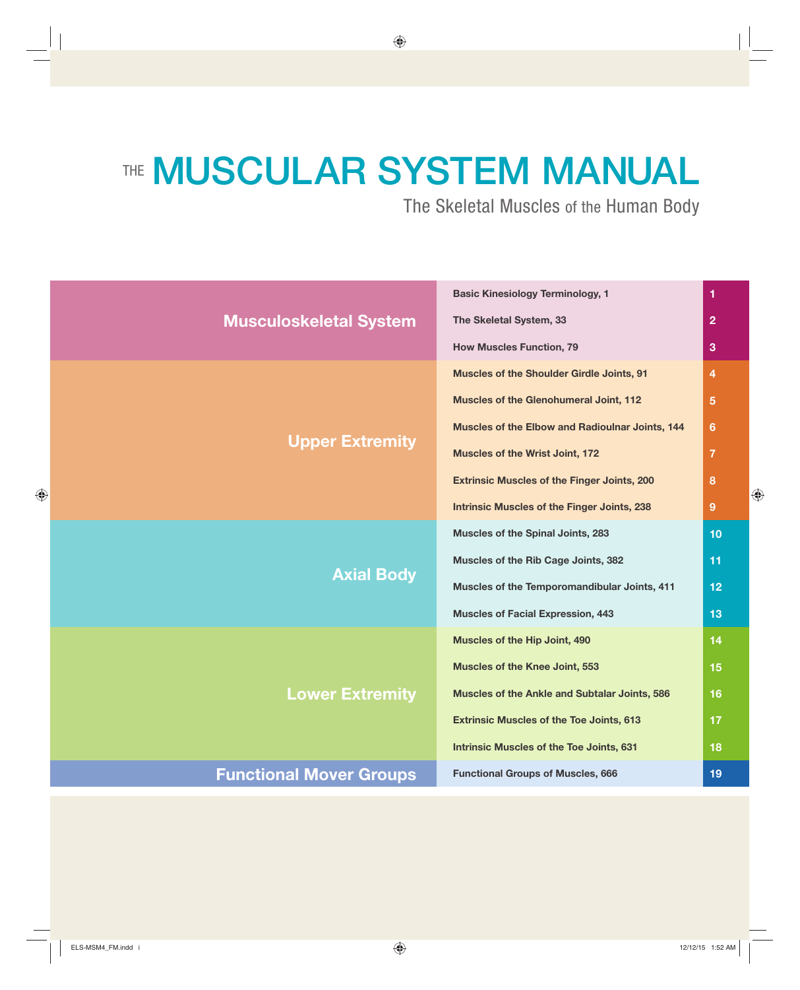# THE **MUSCULAR SYSTEM MANUAL**

The Skeletal Muscles of the Human Body

**Basic Kinesiology Terminology, 1**

| <b>Musculoskeletal System</b>  | <b>Basic Kinesiology Terminology, 1</b>            | 1              |
|--------------------------------|----------------------------------------------------|----------------|
|                                | The Skeletal System, 33                            | $\overline{2}$ |
|                                | <b>How Muscles Function, 79</b>                    | 3              |
| <b>Upper Extremity</b>         | <b>Muscles of the Shoulder Girdle Joints, 91</b>   | 4              |
|                                | Muscles of the Glenohumeral Joint, 112             | 5              |
|                                | Muscles of the Elbow and Radioulnar Joints, 144    | 6              |
|                                | <b>Muscles of the Wrist Joint, 172</b>             | 7              |
|                                | <b>Extrinsic Muscles of the Finger Joints, 200</b> | 8              |
|                                | <b>Intrinsic Muscles of the Finger Joints, 238</b> | 9              |
| <b>Axial Body</b>              | Muscles of the Spinal Joints, 283                  | 10             |
|                                | Muscles of the Rib Cage Joints, 382                | 11             |
|                                | Muscles of the Temporomandibular Joints, 411       | 12             |
|                                | <b>Muscles of Facial Expression, 443</b>           | 13             |
| <b>Lower Extremity</b>         | Muscles of the Hip Joint, 490                      | 14             |
|                                | <b>Muscles of the Knee Joint, 553</b>              | 15             |
|                                | Muscles of the Ankle and Subtalar Joints, 586      | 16             |
|                                | <b>Extrinsic Muscles of the Toe Joints, 613</b>    | 17             |
|                                | <b>Intrinsic Muscles of the Toe Joints, 631</b>    | 18             |
| <b>Functional Mover Groups</b> | <b>Functional Groups of Muscles, 666</b>           | 19             |
|                                |                                                    |                |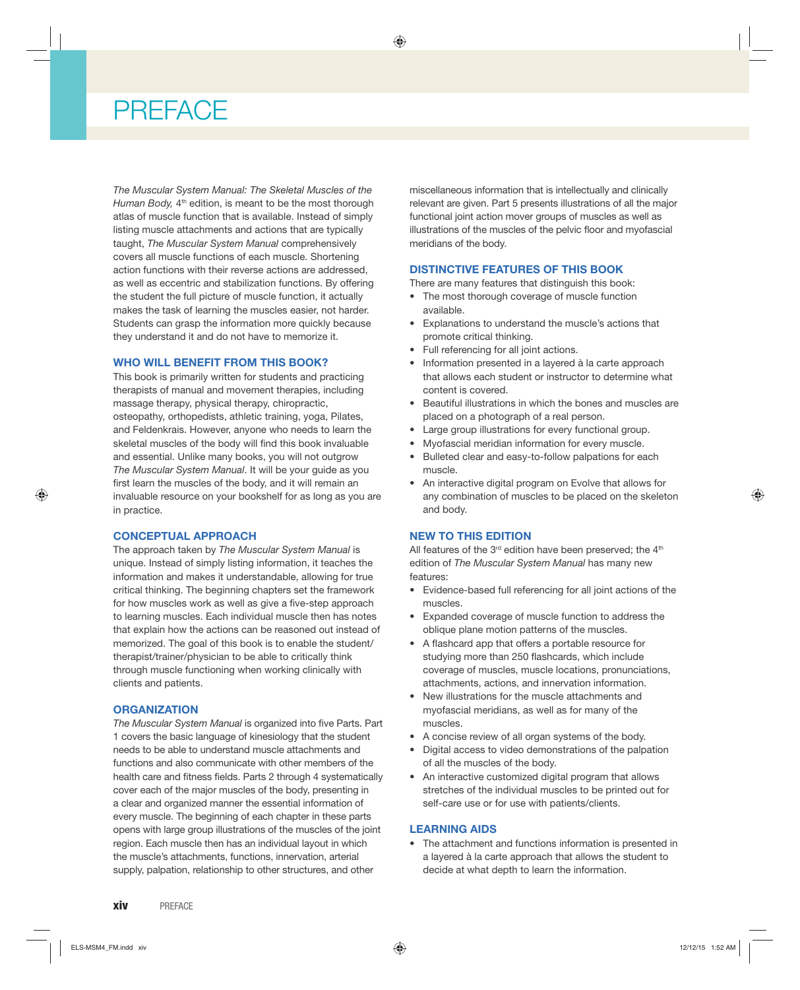# **PREFACE**

*The Muscular System Manual: The Skeletal Muscles of the Human Body,* 4<sup>th</sup> edition, is meant to be the most thorough atlas of muscle function that is available. Instead of simply listing muscle attachments and actions that are typically taught, *The Muscular System Manual* comprehensively covers all muscle functions of each muscle. Shortening action functions with their reverse actions are addressed, as well as eccentric and stabilization functions. By offering the student the full picture of muscle function, it actually makes the task of learning the muscles easier, not harder. Students can grasp the information more quickly because they understand it and do not have to memorize it.

#### **WHO WILL BENEFIT FROM THIS BOOK?**

This book is primarily written for students and practicing therapists of manual and movement therapies, including massage therapy, physical therapy, chiropractic, osteopathy, orthopedists, athletic training, yoga, Pilates, and Feldenkrais. However, anyone who needs to learn the skeletal muscles of the body will find this book invaluable and essential. Unlike many books, you will not outgrow *The Muscular System Manual*. It will be your guide as you first learn the muscles of the body, and it will remain an invaluable resource on your bookshelf for as long as you are in practice.

#### **CONCEPTUAL APPROACH**

The approach taken by *The Muscular System Manual* is unique. Instead of simply listing information, it teaches the information and makes it understandable, allowing for true critical thinking. The beginning chapters set the framework for how muscles work as well as give a five-step approach to learning muscles. Each individual muscle then has notes that explain how the actions can be reasoned out instead of memorized. The goal of this book is to enable the student/ therapist/trainer/physician to be able to critically think through muscle functioning when working clinically with clients and patients.

#### **ORGANIZATION**

**The Muscular System Manual is organized into five Parts. Part** 1 covers the basic language of kinesiology that the student needs to be able to understand muscle attachments and functions and also communicate with other members of the health care and fitness fields. Parts 2 through 4 systematically cover each of the major muscles of the body, presenting in a clear and organized manner the essential information of every muscle. The beginning of each chapter in these parts opens with large group illustrations of the muscles of the joint region. Each muscle then has an individual layout in which the muscle's attachments, functions, innervation, arterial supply, palpation, relationship to other structures, and other

miscellaneous information that is intellectually and clinically relevant are given. Part 5 presents illustrations of all the major functional joint action mover groups of muscles as well as illustrations of the muscles of the pelvic floor and myofascial meridians of the body.

#### **DISTINCTIVE FEATURES OF THIS BOOK**

There are many features that distinguish this book:

- The most thorough coverage of muscle function available.
- Explanations to understand the muscle's actions that promote critical thinking.
- Full referencing for all joint actions.
- Information presented in a layered à la carte approach that allows each student or instructor to determine what content is covered.
- Beautiful illustrations in which the bones and muscles are placed on a photograph of a real person.
- Large group illustrations for every functional group.
- Myofascial meridian information for every muscle.
- Bulleted clear and easy-to-follow palpations for each muscle.
- An interactive digital program on Evolve that allows for any combination of muscles to be placed on the skeleton and body.

#### **NEW TO THIS EDITION**

All features of the  $3<sup>rd</sup>$  edition have been preserved; the  $4<sup>th</sup>$ edition of *The Muscular System Manual* has many new features:

- Evidence-based full referencing for all joint actions of the muscles.
- Expanded coverage of muscle function to address the oblique plane motion patterns of the muscles.
- A flashcard app that offers a portable resource for studying more than 250 flashcards, which include coverage of muscles, muscle locations, pronunciations, attachments, actions, and innervation information.
- New illustrations for the muscle attachments and myofascial meridians, as well as for many of the muscles.
- A concise review of all organ systems of the body.
- Digital access to video demonstrations of the palpation of all the muscles of the body.
- An interactive customized digital program that allows stretches of the individual muscles to be printed out for self-care use or for use with patients/clients.

#### **LEARNING AIDS**

• The attachment and functions information is presented in a layered à la carte approach that allows the student to decide at what depth to learn the information.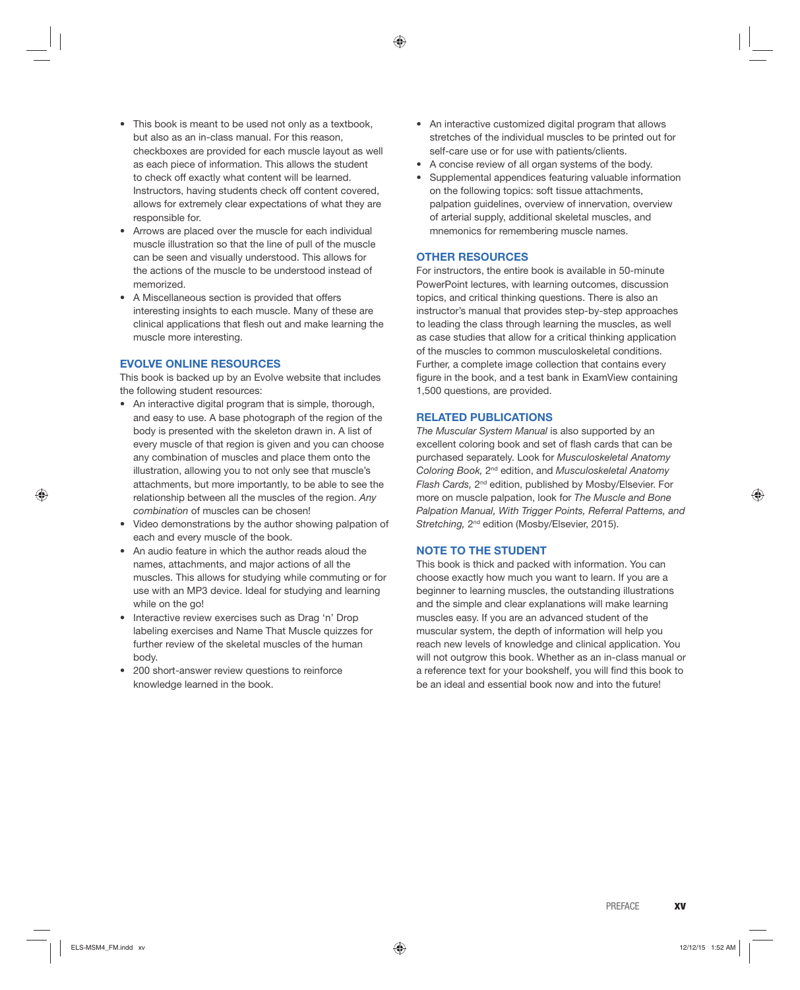- This book is meant to be used not only as a textbook. but also as an in-class manual. For this reason, checkboxes are provided for each muscle layout as well as each piece of information. This allows the student to check off exactly what content will be learned. Instructors, having students check off content covered, allows for extremely clear expectations of what they are responsible for.
- Arrows are placed over the muscle for each individual muscle illustration so that the line of pull of the muscle can be seen and visually understood. This allows for the actions of the muscle to be understood instead of memorized.
- A Miscellaneous section is provided that offers interesting insights to each muscle. Many of these are clinical applications that flesh out and make learning the muscle more interesting.

#### **EVOLVE ONLINE RESOURCES**

This book is backed up by an Evolve website that includes the following student resources:

- An interactive digital program that is simple, thorough, and easy to use. A base photograph of the region of the body is presented with the skeleton drawn in. A list of every muscle of that region is given and you can choose any combination of muscles and place them onto the illustration, allowing you to not only see that muscle's attachments, but more importantly, to be able to see the relationship between all the muscles of the region. *Any combination* of muscles can be chosen!
- Video demonstrations by the author showing palpation of each and every muscle of the book.
- An audio feature in which the author reads aloud the names, attachments, and major actions of all the muscles. This allows for studying while commuting or for use with an MP3 device. Ideal for studying and learning while on the go!
- Interactive review exercises such as Drag 'n' Drop labeling exercises and Name That Muscle quizzes for further review of the skeletal muscles of the human body.
- 200 short-answer review questions to reinforce knowledge learned in the book.
- An interactive customized digital program that allows stretches of the individual muscles to be printed out for self-care use or for use with patients/clients.
- A concise review of all organ systems of the body.
- Supplemental appendices featuring valuable information on the following topics: soft tissue attachments, palpation guidelines, overview of innervation, overview of arterial supply, additional skeletal muscles, and mnemonics for remembering muscle names.

#### **OTHER RESOURCES**

For instructors, the entire book is available in 50-minute PowerPoint lectures, with learning outcomes, discussion topics, and critical thinking questions. There is also an instructor's manual that provides step-by-step approaches to leading the class through learning the muscles, as well as case studies that allow for a critical thinking application of the muscles to common musculoskeletal conditions. Further, a complete image collection that contains every figure in the book, and a test bank in ExamView containing 1,500 questions, are provided.

#### **RELATED PUBLICATIONS**

*The Muscular System Manual* is also supported by an excellent coloring book and set of flash cards that can be purchased separately. Look for *Musculoskeletal Anatomy Coloring Book,* 2nd edition, and *Musculoskeletal Anatomy Flash Cards,* 2nd edition, published by Mosby/Elsevier. For more on muscle palpation, look for *The Muscle and Bone Palpation Manual, With Trigger Points, Referral Patterns, and Stretching,* 2nd edition (Mosby/Elsevier, 2015).

#### **NOTE TO THE STUDENT**

This book is thick and packed with information. You can choose exactly how much you want to learn. If you are a beginner to learning muscles, the outstanding illustrations and the simple and clear explanations will make learning muscles easy. If you are an advanced student of the muscular system, the depth of information will help you reach new levels of knowledge and clinical application. You will not outgrow this book. Whether as an in-class manual or a reference text for your bookshelf, you will find this book to be an ideal and essential book now and into the future!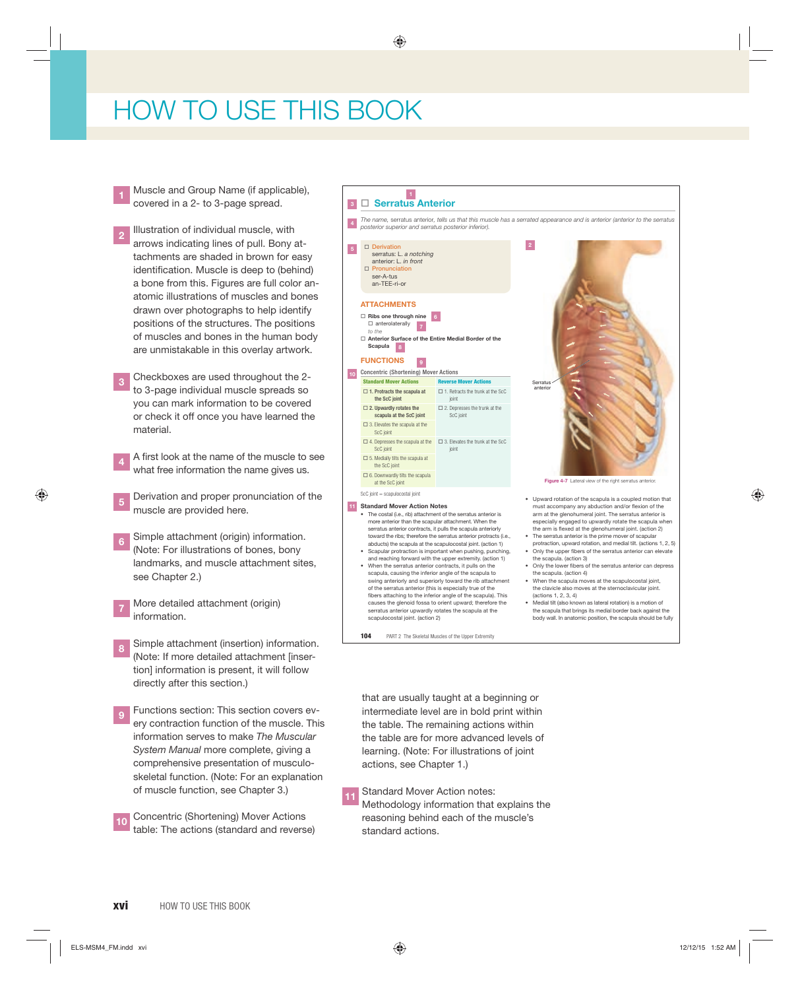# HOW TO USE THIS BOOK

- **<sup>1</sup>** Muscle and Group Name (if applicable), covered in a 2- to 3-page spread.
- **<sup>2</sup>** Illustration of individual muscle, with arrows indicating lines of pull. Bony attachments are shaded in brown for easy identification. Muscle is deep to (behind) a bone from this. Figures are full color anatomic illustrations of muscles and bones drawn over photographs to help identify positions of the structures. The positions of muscles and bones in the human body are unmistakable in this overlay artwork.
- **3** Checkboxes are used throughout the 2to 3-page individual muscle spreads so you can mark information to be covered or check it off once you have learned the material.
- A first look at the name of the muscle to see what free information the name gives us.
- **<sup>5</sup>** Derivation and proper pronunciation of the muscle are provided here.
- **<sup>6</sup>** Simple attachment (origin) information. (Note: For illustrations of bones, bony landmarks, and muscle attachment sites, see Chapter 2.)
- **<sup>7</sup>** More detailed attachment (origin) information.
- **<sup>8</sup>** Simple attachment (insertion) information. (Note: If more detailed attachment [insertion] information is present, it will follow directly after this section.)
- **9** Functions section: This section covers every contraction function of the muscle. This information serves to make *The Muscular System Manual* more complete, giving a comprehensive presentation of musculoskeletal function. (Note: For an explanation of muscle function, see Chapter 3.)
- **<sup>10</sup>** Concentric (Shortening) Mover Actions table: The actions (standard and reverse)



• Scapular protraction is important when pushing, punching, and reaching forward with the upper extremity. (action 1) • When the serratus anterior contracts, it pulls on the

**Serratus Anterior 3**

**4**

**1**

scapula, causing the inferior angle of the scapula to swing anteriorly and superiorly toward the rib attachment of the serratus anterior (this is especially true of the fibers attaching to the inferior angle of the scapula). This causes the glenoid fossa to orient upward; therefore the serratus anterior upwardly rotates the scapula at the scapulocostal joint. (action 2)

**104** PART 2 The Skeletal Muscles of the Upper Extremity

*The name,* serratus anterior*, tells us that this muscle has a serrated appearance and is anterior (anterior to the serratus*  **Figure 4-7** Lateral view of the right serratus anterior

- Upward rotation of the scapula is a coupled motion that must accompany any abduction and/or flexion of the arm at the glenohumeral joint. The serratus anterior is especially engaged to upwardly rotate the scapula when the arm is flexed at the glenohumeral joint. (action 2)
- The serratus anterior is the prime mover of scapular protraction, upward rotation, and medial tilt. (actions 1, 2, 5) • Only the upper fibers of the serratus anterior can elevate
- the scapula. (action 3) • Only the lower fibers of the serratus anterior can depress
- the scapula. (action 4) • When the scapula moves at the scapulocostal joint, the clavicle also moves at the sternoclavicular joint.
- (actions 1, 2, 3, 4) • Medial tilt (also known as lateral rotation) is a motion of
- the scapula that brings its medial border back against the body wall. In anatomic position, the scapula should be fully

that are usually taught at a beginning or intermediate level are in bold print within the table. The remaining actions within the table are for more advanced levels of learning. (Note: For illustrations of joint actions, see Chapter 1.)

**Standard Mover Action notes:** Methodology information that explains the reasoning behind each of the muscle's standard actions.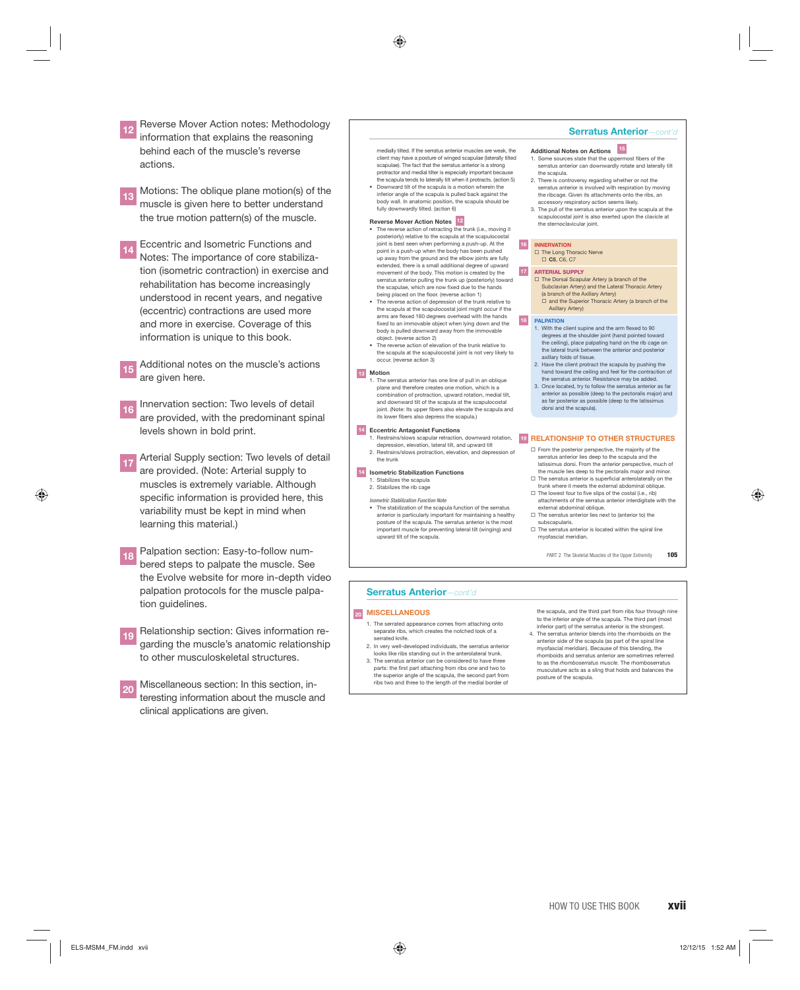- **<sup>12</sup>** Reverse Mover Action notes: Methodology information that explains the reasoning behind each of the muscle's reverse actions.
- **<sup>13</sup>** Motions: The oblique plane motion(s) of the muscle is given here to better understand the true motion pattern(s) of the muscle.
- **14** Eccentric and Isometric Functions and Notes: The importance of core stabilization (isometric contraction) in exercise and rehabilitation has become increasingly understood in recent years, and negative (eccentric) contractions are used more and more in exercise. Coverage of this information is unique to this book.
- **<sup>15</sup>** Additional notes on the muscle's actions are given here.
- **<sup>16</sup>** Innervation section: Two levels of detail are provided, with the predominant spinal levels shown in bold print.
- Arterial Supply section: Two levels of detail are provided. (Note: Arterial supply to muscles is extremely variable. Although specific information is provided here, this variability must be kept in mind when learning this material.)
- Palpation section: Easy-to-follow numbered steps to palpate the muscle. See the Evolve website for more in-depth video palpation protocols for the muscle palpation guidelines.
- **19** Relationship section: Gives information regarding the muscle's anatomic relationship to other musculoskeletal structures.
- **20** Miscellaneous section: In this section, interesting information about the muscle and clinical applications are given.
- medially tilted. If the serratus anterior muscles are weak, the client may have a posture of winged scapulae (laterally tilted scapulae). The fact that the serratus anterior is a strong protractor and medial tilter is especially important beca the scapula tends to laterally tilt when it protracts. (action 5)
- Downward tilt of the scapula is a motion wherein the inferior angle of the scapula is pulled back against the body wall. In anatomic position, the scapula should be fully downwardly tilted. (action 6)

#### **Reverse Mover Action Notes 12**

- The reverse action of retracting the trunk (i.e., moving it posteriorly) relative to the scapula at the scapulocostal joint is best seen when performing a push-up. At the point in a push-up when the body has been pushed up away from the ground and the elbow joints are fully extended, there is a small additional degree of upward movement of the body. This motion is created by the rratus anterior pulling the trunk up (posteriorly) toward the scapulae, which are now fixed due to the hands being placed on the floor. (reverse action 1)
- The reverse action of depression of the trunk relative to the scapula at the scapulocostal joint might occur if the arms are flexed 180 degrees overhead with the hands fixed to an immovable object when lying down and the body is pulled downward away from the immovable object. (reverse action 2)
- The reverse action of elevation of the trunk relative to the scapula at the scapulocostal joint is not very likely to occur. (reverse action 3)

#### **Motion 13**

1. The serratus anterior has one line of pull in an oblique plane and therefore creates one motion, which is a combination of protraction, upward rotation, medial tilt, and downward tilt of the scapula at the scapulocostal joint. (Note: Its upper fibers also elevate the scapula and its lower fibers also depress the scapula.)

#### **Eccentric Antagonist Functions 14**

depression, elevation, lateral tilt, and upward tilt 2. Restrains/slows protraction, elevation, and depression of the trunk

- 
- **Isometric Stabilization Functions 14** Stabilizes the scapula
- 2. Stabilizes the rib cage
- etric Stabilization Function Note • The stabilization of the scapula function of the serratus anterior is particularly important for maintaining a healthy posture of the scapula. The serratus anterior is the most important muscle for preventing lateral tilt (winging) and upward tilt of the scapula.

#### **Serratus Anterior***—cont'd*

- **Additional Notes on Actions 15**
- 1. Some sources state that the uppermost fibers of the serratus anterior can downwardly rotate and laterally tilt the scapula.
- 2. There is controversy regarding whether or not the serratus anterior is involved with respiration by moving the ribcage. Given its attachments onto the ribs, an accessory respiratory action seems likely.
- 3. The pull of the serratus anterior upon the scapula at the scapulocostal joint is also exerted upon the clavicle at the sternoclavicular joint.

#### **INNERVATION 16**

**17**

□ The Long Thoracic Nerve **C5**, C6, C7

#### **ARTERIAL SUPPLY**

- □ The Dorsal Scapular Artery (a branch of the Subclavian Artery) and the Lateral Thoracic Artery (a branch of the Axillary Artery)<br>□ and the Superior Thoracic Artery (a branch of the
- Axillary Artery)

#### **PALPATION 18**

- 1. With the client supine and the arm flexed to 90 degrees at the shoulder joint (hand pointed toward the ceiling), place palpating hand on the rib cage on the lateral trunk between the anterior and pos axillary folds of tissue.
- 2. Have the client protract the scapula by pushing the hand toward the ceiling and feel for the contraction of and to that a the seming and feet for the serratus anterior. Resistance may be added.
- 3. Once located, try to follow the serratus anterior as far anterior as possible (deep to the pectoralis major) and as far posterior as possible (deep to the latissimus dorsi and the scapula).

#### 1. Restrains/slows scapular retraction, downward rotation, 19 RELATIONSHIP TO OTHER STRUCTURES

- $\Box$  From the posterior perspective, the majority of the serratus anterior lies deep to the scapula and the latissimus dorsi. From the anterior perspective, much of the muscle lies deep to the pectoralis major and minor  $\Box$  The serratus anterior is superficial anterolaterally on the
- trunk where it meets the external abdominal oblique. The lowest four to five slips of the costal (i.e., rib) attachments of the serratus anterior interdigitate with the
- external abdominal oblique.  $\square$  The serratus anterior lies next to (anterior to) the subscapularis.
- $\Box$  The serratus anterior is located within the spiral line myofascial meridian.
	- PART 2 The Skeletal Muscles of the Upper Extremity **105**

#### **Serratus Anterior***—cont'd*

#### **MISCELLANEOUS 20**

- 1. The serrated appearance comes from attaching onto separate ribs, which creates the notched look of a serrated knife.
- 2. In very well-developed individuals, the serratus anterior looks like ribs standing out in the anterolateral trunk. 3. The serratus anterior can be considered to have three
- parts: the first part attaching from ribs one and two to the superior angle of the scapula, the second part from ribs two and three to the length of the medial border of

#### the scapula, and the third part from ribs four through nine to the inferior angle of the scapula. The third part (most inferior part) of the serratus anterior is the strongest.

4. The serratus anterior blends into the rhomboids on the anterior side of the scapula (as part of the spiral line myofascial meridian). Because of this blending, the rhomboids and serratus anterior are sometimes referred to as the *rhomboserratus muscle.* The rhomboserratus musculature acts as a sling that holds and balances the posture of the scapula.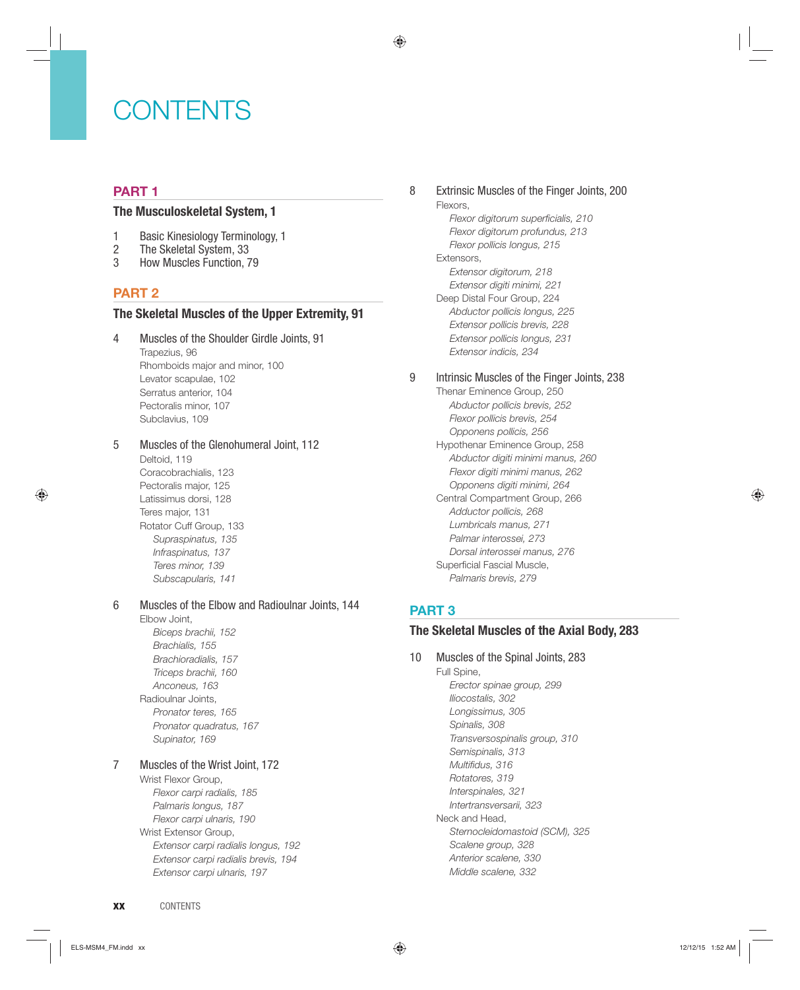# CONTENTS

### **PART 1**

#### **The Musculoskeletal System, 1**

- 1 Basic Kinesiology Terminology, 1
- 2 The Skeletal System, 33<br>3 How Muscles Function. 7
- 3 How Muscles Function, 79

## **PART 2**

#### **The Skeletal Muscles of the Upper Extremity, 91**

4 Muscles of the Shoulder Girdle Joints, 91 Trapezius, 96 Rhomboids major and minor, 100 Levator scapulae, 102 Serratus anterior, 104 Pectoralis minor, 107 Subclavius, 109

#### 5 Muscles of the Glenohumeral Joint, 112

Deltoid, 119 Coracobrachialis, 123 Pectoralis major, 125 Latissimus dorsi, 128 Teres major, 131 Rotator Cuff Group, 133 *Supraspinatus, 135 Infraspinatus, 137 Teres minor, 139 Subscapularis, 141*

#### 6 Muscles of the Elbow and Radioulnar Joints, 144

#### Elbow Joint, *Biceps brachii, 152 Brachialis, 155 Brachioradialis, 157 Triceps brachii, 160 Anconeus, 163* Radioulnar Joints, *Pronator teres, 165 Pronator quadratus, 167 Supinator, 169*

#### 7 Muscles of the Wrist Joint, 172

Wrist Flexor Group, *Flexor carpi radialis, 185 Palmaris longus, 187 Flexor carpi ulnaris, 190* Wrist Extensor Group, *Extensor carpi radialis longus, 192 Extensor carpi radialis brevis, 194 Extensor carpi ulnaris, 197*

#### 8 Extrinsic Muscles of the Finger Joints, 200 Flexors, **Flexor digitorum superficialis, 210** *Flexor digitorum profundus, 213 Flexor pollicis longus, 215*

Extensors, *Extensor digitorum, 218 Extensor digiti minimi, 221* Deep Distal Four Group, 224 *Abductor pollicis longus, 225 Extensor pollicis brevis, 228 Extensor pollicis longus, 231 Extensor indicis, 234*

#### 9 Intrinsic Muscles of the Finger Joints, 238

Thenar Eminence Group, 250 *Abductor pollicis brevis, 252 Flexor pollicis brevis, 254 Opponens pollicis, 256* Hypothenar Eminence Group, 258 *Abductor digiti minimi manus, 260 Flexor digiti minimi manus, 262 Opponens digiti minimi, 264* Central Compartment Group, 266 *Adductor pollicis, 268 Lumbricals manus, 271 Palmar interossei, 273 Dorsal interossei manus, 276* Superficial Fascial Muscle, *Palmaris brevis, 279*

## **PART 3**

#### **The Skeletal Muscles of the Axial Body, 283**

10 Muscles of the Spinal Joints, 283 Full Spine, *Erector spinae group, 299 Iliocostalis, 302 Longissimus, 305 Spinalis, 308 Transversospinalis group, 310 Semispinalis, 313 Multifidus, 316 Rotatores, 319 Interspinales, 321 Intertransversarii, 323* Neck and Head, *Sternocleidomastoid (SCM), 325 Scalene group, 328 Anterior scalene, 330 Middle scalene, 332*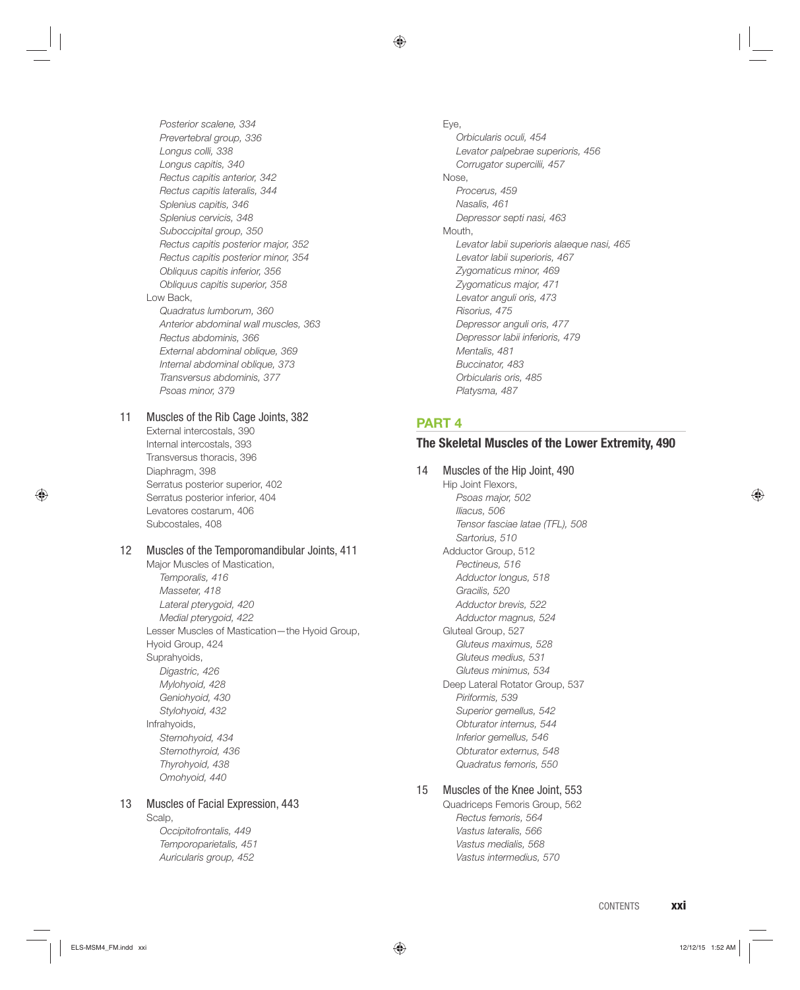*Posterior scalene, 334 Prevertebral group, 336 Longus colli, 338 Longus capitis, 340 Rectus capitis anterior, 342 Rectus capitis lateralis, 344 Splenius capitis, 346 Splenius cervicis, 348 Suboccipital group, 350 Rectus capitis posterior major, 352 Rectus capitis posterior minor, 354 Obliquus capitis inferior, 356 Obliquus capitis superior, 358* Low Back, *Quadratus lumborum, 360 Anterior abdominal wall muscles, 363 Rectus abdominis, 366 External abdominal oblique, 369 Internal abdominal oblique, 373 Transversus abdominis, 377 Psoas minor, 379* 11 Muscles of the Rib Cage Joints, 382 External intercostals, 390 Internal intercostals, 393 Transversus thoracis, 396 Diaphragm, 398 Serratus posterior superior, 402 Serratus posterior inferior, 404 Levatores costarum, 406 Subcostales, 408

#### 12 Muscles of the Temporomandibular Joints, 411

Major Muscles of Mastication, *Temporalis, 416 Masseter, 418 Lateral pterygoid, 420 Medial pterygoid, 422* Lesser Muscles of Mastication—the Hyoid Group, Hyoid Group, 424 Suprahyoids, *Digastric, 426 Mylohyoid, 428 Geniohyoid, 430 Stylohyoid, 432* Infrahyoids, *Sternohyoid, 434 Sternothyroid, 436 Thyrohyoid, 438 Omohyoid, 440*

#### 13 Muscles of Facial Expression, 443

Scalp,

*Occipitofrontalis, 449 Temporoparietalis, 451 Auricularis group, 452*

Eye, *Orbicularis oculi, 454 Levator palpebrae superioris, 456 Corrugator supercilii, 457* Nose, *Procerus, 459 Nasalis, 461 Depressor septi nasi, 463* Mouth, *Levator labii superioris alaeque nasi, 465 Levator labii superioris, 467 Zygomaticus minor, 469 Zygomaticus major, 471 Levator anguli oris, 473 Risorius, 475 Depressor anguli oris, 477 Depressor labii inferioris, 479 Mentalis, 481 Buccinator, 483 Orbicularis oris, 485 Platysma, 487*

#### **PART 4**

#### **The Skeletal Muscles of the Lower Extremity, 490**

14 Muscles of the Hip Joint, 490 Hip Joint Flexors, *Psoas major, 502 Iliacus, 506 Tensor fasciae latae (TFL), 508 Sartorius, 510* Adductor Group, 512 *Pectineus, 516 Adductor longus, 518 Gracilis, 520 Adductor brevis, 522 Adductor magnus, 524* Gluteal Group, 527 *Gluteus maximus, 528 Gluteus medius, 531 Gluteus minimus, 534* Deep Lateral Rotator Group, 537 *Piriformis, 539 Superior gemellus, 542 Obturator internus, 544 Inferior gemellus, 546 Obturator externus, 548 Quadratus femoris, 550*

#### 15 Muscles of the Knee Joint, 553

Quadriceps Femoris Group, 562 *Rectus femoris, 564 Vastus lateralis, 566 Vastus medialis, 568 Vastus intermedius, 570*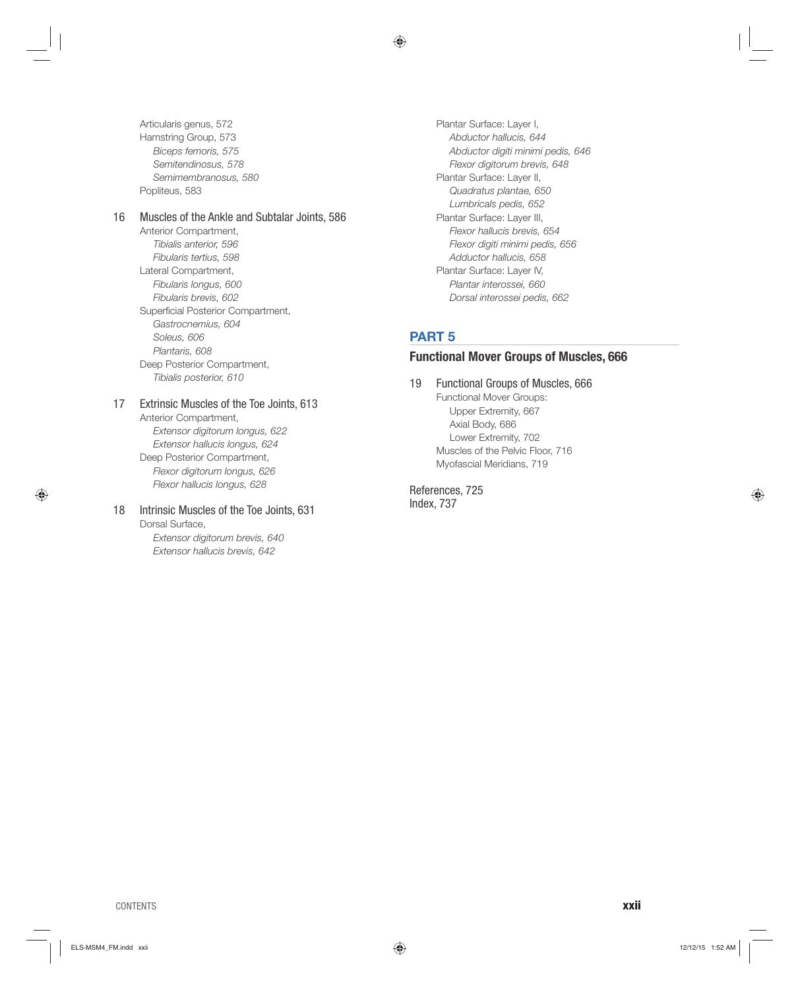Articularis genus, 572 Hamstring Group, 573 *Biceps femoris, 575 Semitendinosus, 578 Semimembranosus, 580* Popliteus, 583

#### 16 Muscles of the Ankle and Subtalar Joints, 586

Anterior Compartment, *Tibialis anterior, 596 Fibularis tertius, 598* Lateral Compartment, *Fibularis longus, 600 Fibularis brevis, 602* Superficial Posterior Compartment, *Gastrocnemius, 604 Soleus, 606 Plantaris, 608* Deep Posterior Compartment, *Tibialis posterior, 610*

#### 17 Extrinsic Muscles of the Toe Joints, 613

Anterior Compartment, *Extensor digitorum longus, 622 Extensor hallucis longus, 624* Deep Posterior Compartment, *Flexor digitorum longus, 626 Flexor hallucis longus, 628*

# 18 Intrinsic Muscles of the Toe Joints, 631

Dorsal Surface, *Extensor digitorum brevis, 640 Extensor hallucis brevis, 642*

Plantar Surface: Layer I, *Abductor hallucis, 644 Abductor digiti minimi pedis, 646 Flexor digitorum brevis, 648* Plantar Surface: Layer II, *Quadratus plantae, 650 Lumbricals pedis, 652* Plantar Surface: Layer III, *Flexor hallucis brevis, 654 Flexor digiti minimi pedis, 656 Adductor hallucis, 658* Plantar Surface: Layer IV, *Plantar interossei, 660 Dorsal interossei pedis, 662*

## **PART 5**

#### **Functional Mover Groups of Muscles, 666**

## 19 Functional Groups of Muscles, 666

Functional Mover Groups: Upper Extremity, 667 Axial Body, 686 Lower Extremity, 702 Muscles of the Pelvic Floor, 716 Myofascial Meridians, 719

References, 725 Index, 737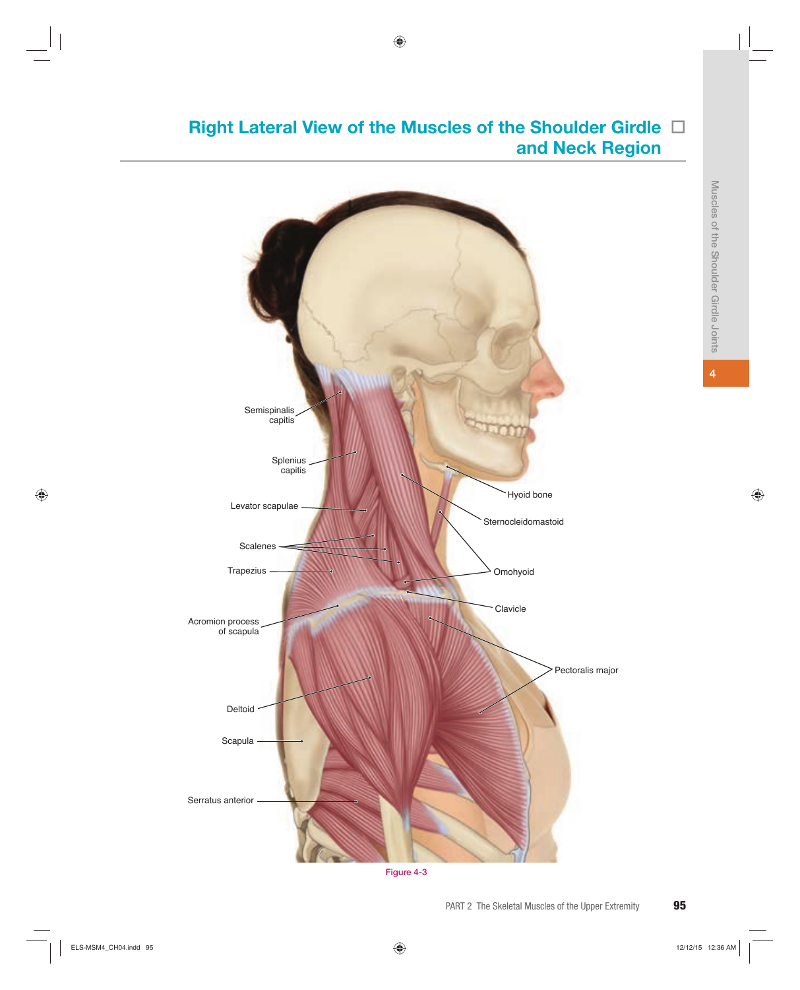# Right Lateral View of the Muscles of the Shoulder Girdle  $\Box$ **and Neck Region**



**Figure 4-3**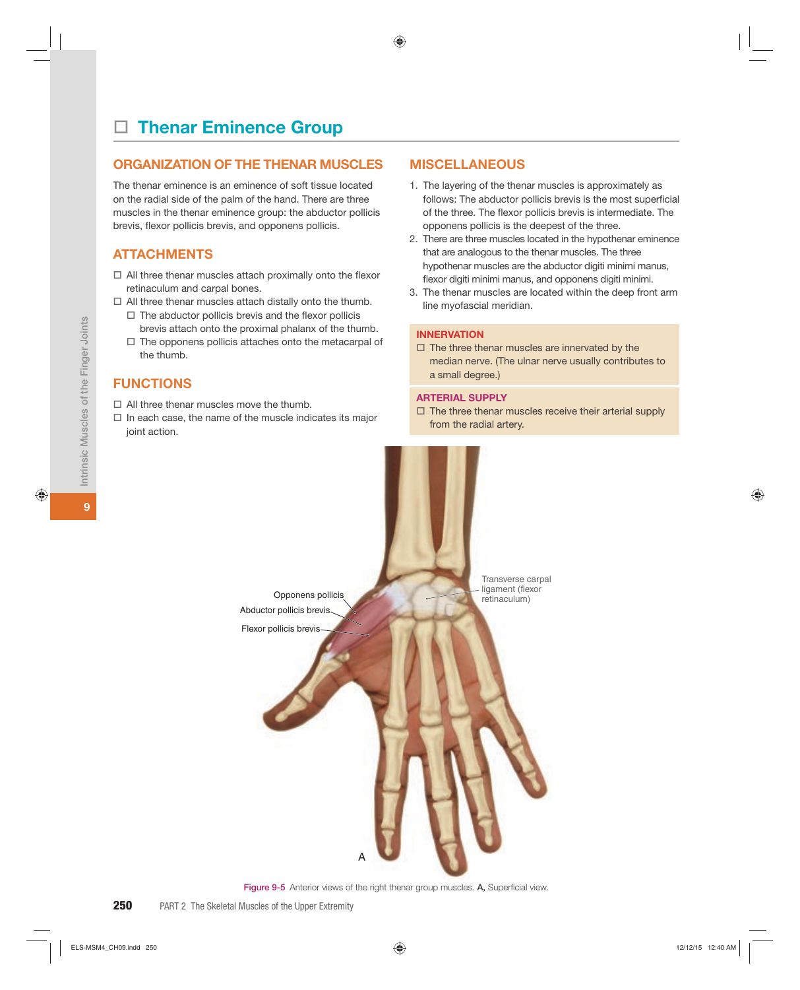# **Thenar Eminence Group**

#### **ORGANIZATION OF THE THENAR MUSCLES**

The thenar eminence is an eminence of soft tissue located on the radial side of the palm of the hand. There are three muscles in the thenar eminence group: the abductor pollicis brevis, flexor pollicis brevis, and opponens pollicis.

### **ATTACHMENTS**

- $\Box$  All three thenar muscles attach proximally onto the flexor retinaculum and carpal bones.
- $\Box$  All three thenar muscles attach distally onto the thumb.
	- $\Box$  The abductor pollicis brevis and the flexor pollicis brevis attach onto the proximal phalanx of the thumb.
	- $\Box$  The opponens pollicis attaches onto the metacarpal of the thumb.

### **FUNCTIONS**

- $\Box$  All three thenar muscles move the thumb.
- $\Box$  In each case, the name of the muscle indicates its major joint action.

#### **MISCELLANEOUS**

- 1. The layering of the thenar muscles is approximately as follows: The abductor pollicis brevis is the most superficial of the three. The flexor pollicis brevis is intermediate. The opponens pollicis is the deepest of the three.
- 2. There are three muscles located in the hypothenar eminence that are analogous to the thenar muscles. The three hypothenar muscles are the abductor digiti minimi manus, flexor digiti minimi manus, and opponens digiti minimi.
- 3. The thenar muscles are located within the deep front arm line myofascial meridian.

#### **INNERVATION**

 $\Box$  The three thenar muscles are innervated by the median nerve. (The ulnar nerve usually contributes to a small degree.)

#### **ARTERIAL SUPPLY**

 $\square$  The three thenar muscles receive their arterial supply from the radial artery.



Figure 9-5 Anterior views of the right thenar group muscles. A, Superficial view.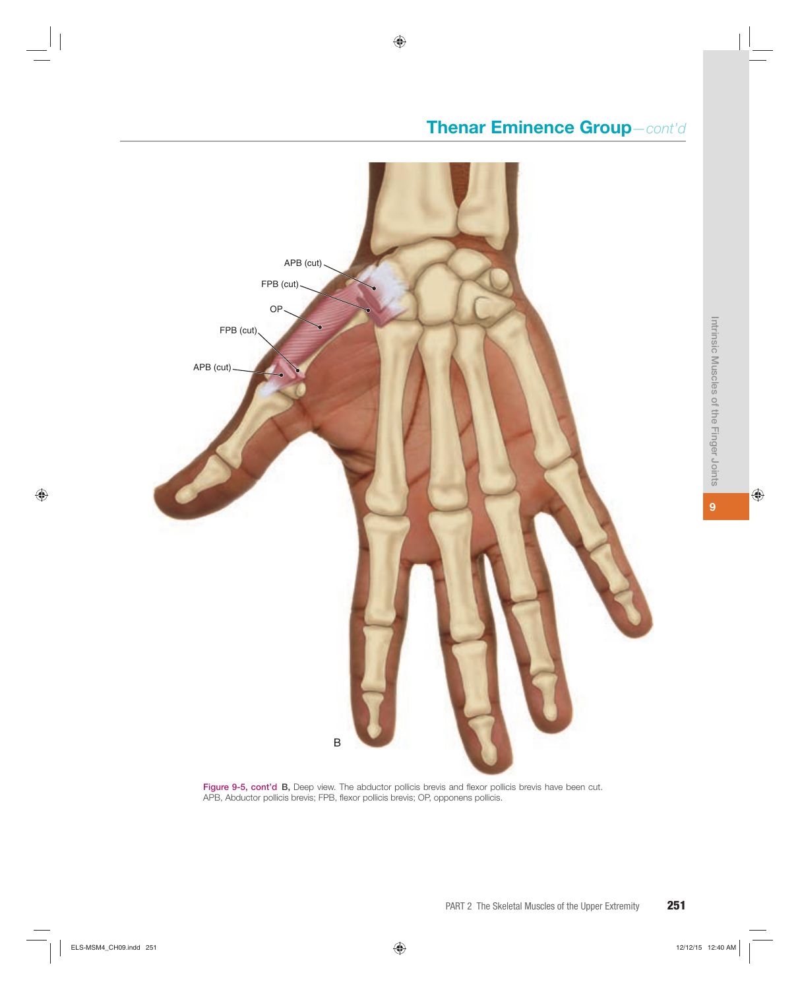# **Thenar Eminence Group***—cont'd*



Figure 9-5, cont'd B, Deep view. The abductor pollicis brevis and flexor pollicis brevis have been cut. APB, Abductor pollicis brevis; FPB, flexor pollicis brevis; OP, opponens pollicis.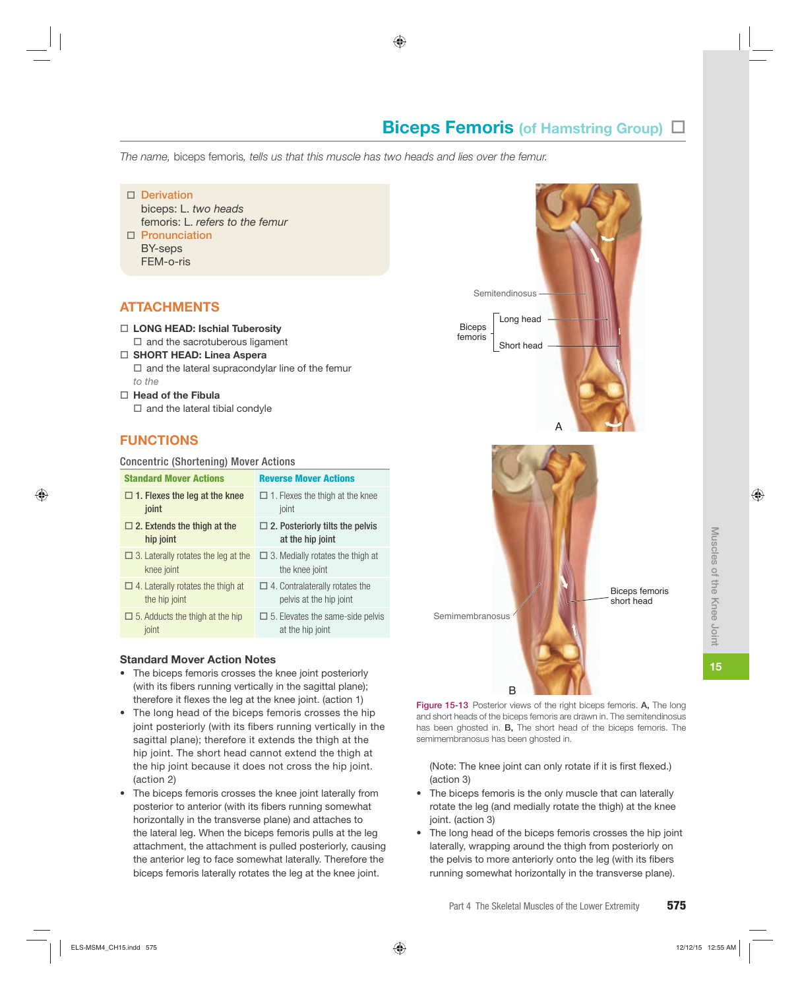# **Biceps Femoris (of Hamstring Group)**  $\Box$

*The name,* biceps femoris*, tells us that this muscle has two heads and lies over the femur.*

o **Derivation** biceps: L. *two heads*

femoris: L. *refers to the femur*

o **Pronunciation** BY-seps FEM-o-ris

## **ATTACHMENTS**

# □ LONG HEAD: Ischial Tuberosity

- $\square$  and the sacrotuberous ligament
- □ **SHORT HEAD: Linea Aspera**  $\Box$  and the lateral supracondylar line of the femur *to the*
- o **Head of the Fibula**  $\Box$  and the lateral tibial condyle

# **FUNCTIONS**

#### Concentric (Shortening) Mover Actions

| <b>Standard Mover Actions</b>              | <b>Reverse Mover Actions</b>            |
|--------------------------------------------|-----------------------------------------|
| $\Box$ 1. Flexes the leg at the knee       | $\Box$ 1. Flexes the thigh at the knee  |
| joint                                      | joint                                   |
| $\Box$ 2. Extends the thigh at the         | $\Box$ 2. Posteriorly tilts the pelvis  |
| hip joint                                  | at the hip joint                        |
| $\Box$ 3. Laterally rotates the leg at the | $\Box$ 3. Medially rotates the thigh at |
| knee joint                                 | the knee joint                          |
| $\Box$ 4. Laterally rotates the thigh at   | $\Box$ 4. Contralaterally rotates the   |
| the hip joint                              | pelvis at the hip joint                 |
| $\Box$ 5. Adducts the thigh at the hip     | $\Box$ 5. Elevates the same-side pelvis |
| joint                                      | at the hip joint                        |
|                                            |                                         |

#### **Standard Mover Action Notes**

- The biceps femoris crosses the knee joint posteriorly (with its fibers running vertically in the sagittal plane); therefore it flexes the leg at the knee joint. (action 1)
- The long head of the biceps femoris crosses the hip joint posteriorly (with its fibers running vertically in the sagittal plane); therefore it extends the thigh at the hip joint. The short head cannot extend the thigh at the hip joint because it does not cross the hip joint. (action 2)
- The biceps femoris crosses the knee joint laterally from posterior to anterior (with its fibers running somewhat horizontally in the transverse plane) and attaches to the lateral leg. When the biceps femoris pulls at the leg attachment, the attachment is pulled posteriorly, causing the anterior leg to face somewhat laterally. Therefore the biceps femoris laterally rotates the leg at the knee joint.



**Figure 15-13** Posterior views of the right biceps femoris. **A,** The long and short heads of the biceps femoris are drawn in. The semitendinosus has been ghosted in. **B,** The short head of the biceps femoris. The semimembranosus has been ghosted in.

(Note: The knee joint can only rotate if it is first flexed.) (action 3)

- The biceps femoris is the only muscle that can laterally rotate the leg (and medially rotate the thigh) at the knee joint. (action 3)
- The long head of the biceps femoris crosses the hip joint laterally, wrapping around the thigh from posteriorly on the pelvis to more anteriorly onto the leg (with its fibers running somewhat horizontally in the transverse plane).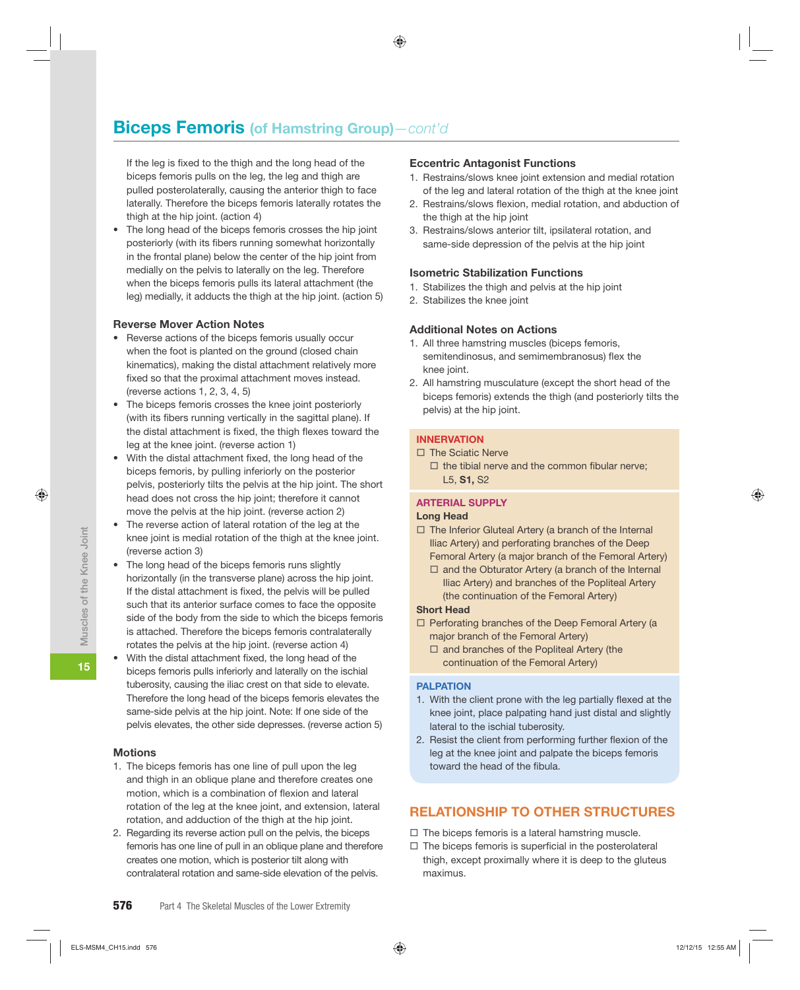If the leg is fixed to the thigh and the long head of the biceps femoris pulls on the leg, the leg and thigh are pulled posterolaterally, causing the anterior thigh to face laterally. Therefore the biceps femoris laterally rotates the thigh at the hip joint. (action 4)

• The long head of the biceps femoris crosses the hip joint posteriorly (with its fibers running somewhat horizontally in the frontal plane) below the center of the hip joint from medially on the pelvis to laterally on the leg. Therefore when the biceps femoris pulls its lateral attachment (the leg) medially, it adducts the thigh at the hip joint. (action 5)

#### **Reverse Mover Action Notes**

- Reverse actions of the biceps femoris usually occur when the foot is planted on the ground (closed chain kinematics), making the distal attachment relatively more fixed so that the proximal attachment moves instead. (reverse actions 1, 2, 3, 4, 5)
- The biceps femoris crosses the knee joint posteriorly (with its fibers running vertically in the sagittal plane). If the distal attachment is fixed, the thigh flexes toward the leg at the knee joint. (reverse action 1)
- With the distal attachment fixed, the long head of the biceps femoris, by pulling inferiorly on the posterior pelvis, posteriorly tilts the pelvis at the hip joint. The short head does not cross the hip joint; therefore it cannot move the pelvis at the hip joint. (reverse action 2)
- The reverse action of lateral rotation of the leg at the knee joint is medial rotation of the thigh at the knee joint. (reverse action 3)
- The long head of the biceps femoris runs slightly horizontally (in the transverse plane) across the hip joint. If the distal attachment is fixed, the pelvis will be pulled such that its anterior surface comes to face the opposite side of the body from the side to which the biceps femoris is attached. Therefore the biceps femoris contralaterally rotates the pelvis at the hip joint. (reverse action 4)
- With the distal attachment fixed, the long head of the biceps femoris pulls inferiorly and laterally on the ischial tuberosity, causing the iliac crest on that side to elevate. Therefore the long head of the biceps femoris elevates the same-side pelvis at the hip joint. Note: If one side of the pelvis elevates, the other side depresses. (reverse action 5)

#### **Motions**

- 1. The biceps femoris has one line of pull upon the leg and thigh in an oblique plane and therefore creates one motion, which is a combination of flexion and lateral rotation of the leg at the knee joint, and extension, lateral rotation, and adduction of the thigh at the hip joint.
- 2. Regarding its reverse action pull on the pelvis, the biceps femoris has one line of pull in an oblique plane and therefore creates one motion, which is posterior tilt along with contralateral rotation and same-side elevation of the pelvis.

#### **Eccentric Antagonist Functions**

- 1. Restrains/slows knee joint extension and medial rotation of the leg and lateral rotation of the thigh at the knee joint
- 2. Restrains/slows flexion, medial rotation, and abduction of the thigh at the hip joint
- 3. Restrains/slows anterior tilt, ipsilateral rotation, and same-side depression of the pelvis at the hip joint

#### **Isometric Stabilization Functions**

- 1. Stabilizes the thigh and pelvis at the hip joint
- 2. Stabilizes the knee joint

#### **Additional Notes on Actions**

- 1. All three hamstring muscles (biceps femoris, semitendinosus, and semimembranosus) flex the knee joint.
- 2. All hamstring musculature (except the short head of the biceps femoris) extends the thigh (and posteriorly tilts the pelvis) at the hip joint.

#### **INNERVATION**

- $\Box$  The Sciatic Nerve
	- $\Box$  the tibial nerve and the common fibular nerve: L5, **S1,** S2

#### **ARTERIAL SUPPLY**

#### **Long Head**

- $\Box$  The Inferior Gluteal Artery (a branch of the Internal Iliac Artery) and perforating branches of the Deep Femoral Artery (a major branch of the Femoral Artery)
	- $\Box$  and the Obturator Artery (a branch of the Internal Iliac Artery) and branches of the Popliteal Artery (the continuation of the Femoral Artery)

#### **Short Head**

- $\Box$  Perforating branches of the Deep Femoral Artery (a major branch of the Femoral Artery)
	- $\square$  and branches of the Popliteal Artery (the continuation of the Femoral Artery)

#### **PALPATION**

- 1. With the client prone with the leg partially flexed at the knee joint, place palpating hand just distal and slightly lateral to the ischial tuberosity.
- 2. Resist the client from performing further flexion of the leg at the knee joint and palpate the biceps femoris toward the head of the fibula.

#### **RELATIONSHIP TO OTHER STRUCTURES**

- $\Box$  The biceps femoris is a lateral hamstring muscle.
- $\Box$  The biceps femoris is superficial in the posterolateral thigh, except proximally where it is deep to the gluteus maximus.